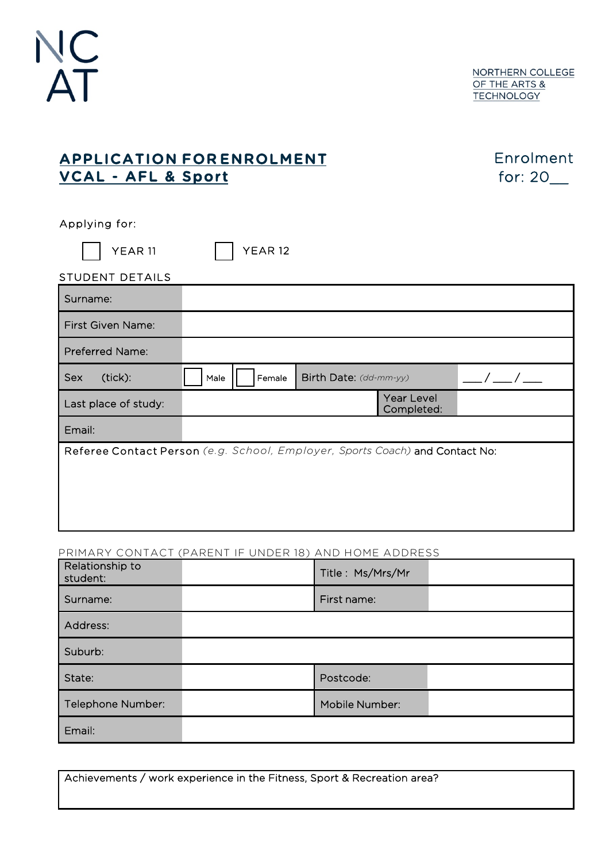

NORTHERN COLLEGE OF THE ARTS & **TECHNOLOGY** 

## APPLICATION FOR ENROLMENT VCAL - AFL & Sport

Enrolment for: 20\_\_

Applying for:

 $\Box$  YEAR 11  $\Box$  YEAR 12

| .               | . |
|-----------------|---|
| STUDENT DETAILS |   |

| Surname:                                                                     |      |        |                        |                          |  |
|------------------------------------------------------------------------------|------|--------|------------------------|--------------------------|--|
| <b>First Given Name:</b>                                                     |      |        |                        |                          |  |
| Preferred Name:                                                              |      |        |                        |                          |  |
| (tick):<br>Sex                                                               | Male | Female | Birth Date: (dd-mm-yy) |                          |  |
| Last place of study:                                                         |      |        |                        | Year Level<br>Completed: |  |
| Email:                                                                       |      |        |                        |                          |  |
| Referee Contact Person (e.g. School, Employer, Sports Coach) and Contact No: |      |        |                        |                          |  |
|                                                                              |      |        |                        |                          |  |
|                                                                              |      |        |                        |                          |  |
|                                                                              |      |        |                        |                          |  |

## PRIMARY CONTACT (PARENT IF UNDER 18) AND HOME ADDRESS

| Relationship to<br>student: | Title: Ms/Mrs/Mr |
|-----------------------------|------------------|
| Surname:                    | First name:      |
| Address:                    |                  |
| Suburb:                     |                  |
| State:                      | Postcode:        |
| Telephone Number:           | Mobile Number:   |
| Email:                      |                  |

Achievements / work experience in the Fitness, Sport & Recreation area?